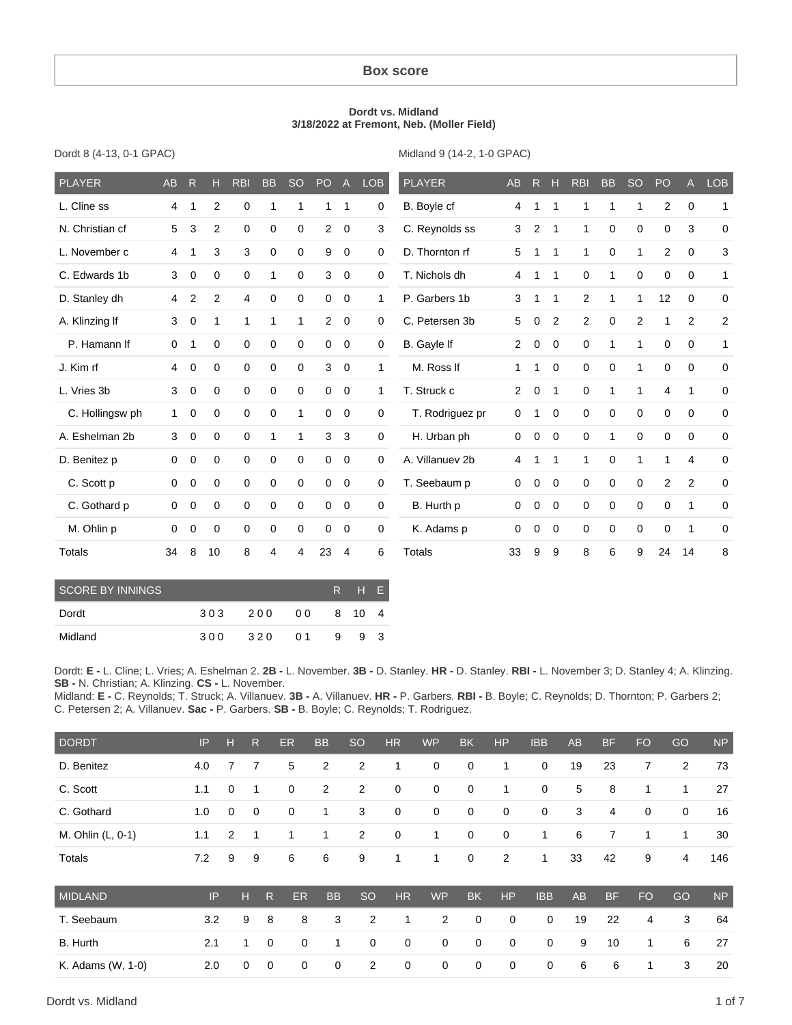#### **Box score**

#### **Dordt vs. Midland 3/18/2022 at Fremont, Neb. (Moller Field)**

Dordt 8 (4-13, 0-1 GPAC)

Midland 9 (14-2, 1-0 GPAC)

| <b>PLAYER</b>   | AB             | R           | н              | <b>RBI</b>  | <b>BB</b>        | <b>SO</b>   | PO             | $\overline{A}$ | <b>LOB</b>   | <b>PLAYER</b>   | <b>AB</b>      | R           | Н              | <b>RBI</b>  | <b>BB</b>    | <b>SO</b>      | PO             | $\overline{A}$ | <b>LOB</b>     |
|-----------------|----------------|-------------|----------------|-------------|------------------|-------------|----------------|----------------|--------------|-----------------|----------------|-------------|----------------|-------------|--------------|----------------|----------------|----------------|----------------|
| L. Cline ss     | 4              |             | $\overline{2}$ | $\mathbf 0$ | 1                | 1           | 1              | $\mathbf 1$    | 0            | B. Boyle cf     | 4              | 1           | 1              | 1           | 1            | 1              | 2              | $\mathbf 0$    | 1              |
| N. Christian cf | 5              | 3           | 2              | $\mathbf 0$ | $\boldsymbol{0}$ | $\mathbf 0$ | $\overline{2}$ | $\mathbf 0$    | 3            | C. Reynolds ss  | 3              | 2           | 1              | 1           | $\mathbf 0$  | $\mathbf 0$    | $\Omega$       | 3              | 0              |
| L. November c   | 4              |             | 3              | 3           | $\Omega$         | $\Omega$    | 9              | $\mathbf 0$    | 0            | D. Thornton rf  | 5              |             | 1              | 1           | $\Omega$     | $\mathbf 1$    | 2              | $\Omega$       | 3              |
| C. Edwards 1b   | 3              | 0           | $\mathbf 0$    | $\mathbf 0$ | $\mathbf{1}$     | $\mathbf 0$ | 3              | $\mathbf 0$    | 0            | T. Nichols dh   | 4              | 1           | 1              | $\mathbf 0$ | 1            | $\mathbf 0$    | $\mathbf 0$    | $\Omega$       | $\mathbf{1}$   |
| D. Stanley dh   | $\overline{4}$ | 2           | 2              | 4           | $\mathbf 0$      | $\mathbf 0$ | $\mathbf 0$    | $\mathbf 0$    | $\mathbf{1}$ | P. Garbers 1b   | 3              | 1           | 1              | 2           | $\mathbf{1}$ | $\mathbf{1}$   | 12             | $\mathbf 0$    | 0              |
| A. Klinzing If  | 3              | $\mathbf 0$ | 1              | 1           | $\mathbf{1}$     | 1           | $\overline{2}$ | $\mathbf 0$    | 0            | C. Petersen 3b  | 5              | 0           | 2              | 2           | 0            | $\overline{2}$ | 1              | 2              | $\overline{c}$ |
| P. Hamann If    | $\mathbf 0$    | 1           | $\mathbf 0$    | $\mathbf 0$ | $\mathbf 0$      | $\mathbf 0$ | $\mathbf 0$    | $\overline{0}$ | 0            | B. Gayle If     | 2              | $\mathbf 0$ | $\overline{0}$ | $\mathbf 0$ | 1            | $\mathbf{1}$   | $\mathbf 0$    | $\mathbf 0$    | $\mathbf{1}$   |
| J. Kim rf       | $\overline{4}$ | $\mathbf 0$ | $\mathbf 0$    | $\mathbf 0$ | $\mathbf 0$      | $\mathbf 0$ | 3              | $\mathbf 0$    | 1            | M. Ross If      | 1              | 1           | $\overline{0}$ | $\mathbf 0$ | $\mathbf 0$  | 1              | $\mathbf 0$    | $\mathbf 0$    | 0              |
| L. Vries 3b     | 3              | $\mathbf 0$ | $\Omega$       | $\mathbf 0$ | $\mathbf 0$      | $\mathbf 0$ | $\mathbf 0$    | $\mathbf 0$    | 1            | T. Struck c     | $\overline{2}$ | 0           | $\mathbf 1$    | 0           | 1            | 1              | 4              | 1              | 0              |
| C. Hollingsw ph | $\mathbf{1}$   | 0           | 0              | $\mathbf 0$ | $\mathbf 0$      | 1           | $\mathbf 0$    | $\mathbf 0$    | 0            | T. Rodriguez pr | $\mathbf 0$    | 1           | $\mathbf 0$    | $\mathbf 0$ | $\mathbf 0$  | $\mathbf 0$    | $\mathbf 0$    | $\mathbf 0$    | 0              |
| A. Eshelman 2b  | 3              | $\mathbf 0$ | $\Omega$       | $\mathbf 0$ | $\mathbf{1}$     | 1           | 3              | 3              | 0            | H. Urban ph     | 0              | 0           | $\Omega$       | $\Omega$    | 1            | $\Omega$       | $\Omega$       | $\Omega$       | 0              |
| D. Benitez p    | 0              | 0           | $\mathbf 0$    | $\mathbf 0$ | $\mathbf 0$      | $\mathbf 0$ | $\mathbf 0$    | $\mathbf 0$    | 0            | A. Villanuev 2b | 4              | 1           | 1              | 1           | $\mathbf 0$  | $\mathbf 1$    | 1              | 4              | 0              |
| C. Scott p      | 0              | 0           | $\mathbf 0$    | $\mathbf 0$ | 0                | 0           | $\mathbf 0$    | $\mathbf 0$    | 0            | T. Seebaum p    | 0              | 0           | $\mathbf 0$    | $\mathbf 0$ | 0            | $\mathbf 0$    | $\overline{2}$ | 2              | 0              |
| C. Gothard p    | 0              | 0           | $\mathbf 0$    | $\mathbf 0$ | $\mathbf 0$      | $\mathbf 0$ | $\mathbf 0$    | $\mathbf 0$    | 0            | B. Hurth p      | $\mathbf 0$    | 0           | $\overline{0}$ | $\mathbf 0$ | $\mathbf 0$  | $\mathbf 0$    | $\mathbf 0$    | 1              | 0              |
| M. Ohlin p      | 0              | 0           | $\Omega$       | $\Omega$    | $\mathbf 0$      | $\Omega$    | $\mathbf 0$    | $\mathbf 0$    | 0            | K. Adams p      | 0              | $\mathbf 0$ | $\Omega$       | $\Omega$    | $\mathbf 0$  | $\mathbf 0$    | $\Omega$       | 1              | 0              |
| Totals          | 34             | 8           | 10             | 8           | 4                | 4           | 23             | 4              | 6            | <b>Totals</b>   | 33             | 9           | 9              | 8           | 6            | 9              | 24             | 14             | 8              |

| SCORE BY INNINGS |     |     |     |   | RHF.   |     |
|------------------|-----|-----|-----|---|--------|-----|
| Dordt            | 303 | 200 | 00  |   | 8 10 4 |     |
| Midland          | 300 | 320 | O 1 | 9 |        | 9 3 |

Dordt: **E -** L. Cline; L. Vries; A. Eshelman 2. **2B -** L. November. **3B -** D. Stanley. **HR -** D. Stanley. **RBI -** L. November 3; D. Stanley 4; A. Klinzing. **SB -** N. Christian; A. Klinzing. **CS -** L. November.

Midland: **E -** C. Reynolds; T. Struck; A. Villanuev. **3B -** A. Villanuev. **HR -** P. Garbers. **RBI -** B. Boyle; C. Reynolds; D. Thornton; P. Garbers 2; C. Petersen 2; A. Villanuev. **Sac -** P. Garbers. **SB -** B. Boyle; C. Reynolds; T. Rodriguez.

| <b>DORDT</b>      | IP  | н           | $\mathsf{R}$ |             | ER          | <b>BB</b>      | <b>SO</b>      | <b>HR</b>   | <b>WP</b>      | <b>BK</b>   | <b>HP</b>   | <b>IBB</b>  | <b>AB</b> | <b>BF</b>      | <b>FO</b>      | GO           | <b>NP</b> |
|-------------------|-----|-------------|--------------|-------------|-------------|----------------|----------------|-------------|----------------|-------------|-------------|-------------|-----------|----------------|----------------|--------------|-----------|
| D. Benitez        | 4.0 |             | 7            |             | 5           | 2              | $\overline{2}$ | 1           | 0              | $\mathbf 0$ | 1           | 0           | 19        | 23             | 7              | 2            | 73        |
| C. Scott          | 1.1 | $\mathbf 0$ | 1            |             | 0           | $\overline{2}$ | 2              | $\mathbf 0$ | 0              | $\mathbf 0$ | 1           | 0           | 5         | 8              | 1              | $\mathbf{1}$ | 27        |
| C. Gothard        | 1.0 | $\mathbf 0$ | $\mathbf 0$  |             | 0           | 1              | 3              | $\mathbf 0$ | 0              | $\mathbf 0$ | $\mathbf 0$ | 0           | 3         | $\overline{4}$ | $\mathbf 0$    | $\mathbf 0$  | 16        |
| M. Ohlin (L, 0-1) | 1.1 | 2           | $\mathbf 1$  |             | 1           | 1              | 2              | $\mathbf 0$ | $\mathbf{1}$   | $\mathbf 0$ | $\mathbf 0$ | 1           | 6         | 7              | 1              | $\mathbf{1}$ | 30        |
| Totals            | 7.2 | 9           | 9            |             | 6           | 6              | 9              | 1           | $\mathbf{1}$   | $\mathbf 0$ | 2           | 1           | 33        | 42             | 9              | 4            | 146       |
| <b>MIDLAND</b>    | IP  |             | н            | R           | <b>ER</b>   | <b>BB</b>      | <b>SO</b>      | <b>HR</b>   | <b>WP</b>      | <b>BK</b>   | HP          | <b>IBB</b>  | <b>AB</b> | <b>BF</b>      | F <sub>O</sub> | GO           | <b>NP</b> |
| T. Seebaum        | 3.2 |             | 9            | 8           | 8           | 3              | 2              | 1           | $\overline{2}$ | $\mathbf 0$ | 0           | $\mathbf 0$ | 19        | 22             | 4              | 3            | 64        |
| <b>B.</b> Hurth   | 2.1 |             | 1            | $\mathbf 0$ | $\mathbf 0$ | $\mathbf{1}$   | 0              | $\mathbf 0$ | $\mathbf 0$    | $\mathbf 0$ | 0           | $\mathbf 0$ | 9         | 10             | 1              | 6            | 27        |
| K. Adams (W, 1-0) | 2.0 |             | 0            | $\mathbf 0$ | $\mathbf 0$ | 0              | $\overline{2}$ | $\mathbf 0$ | $\mathbf 0$    | $\mathbf 0$ | $\mathbf 0$ | $\mathbf 0$ | 6         | 6              | 1              | 3            | 20        |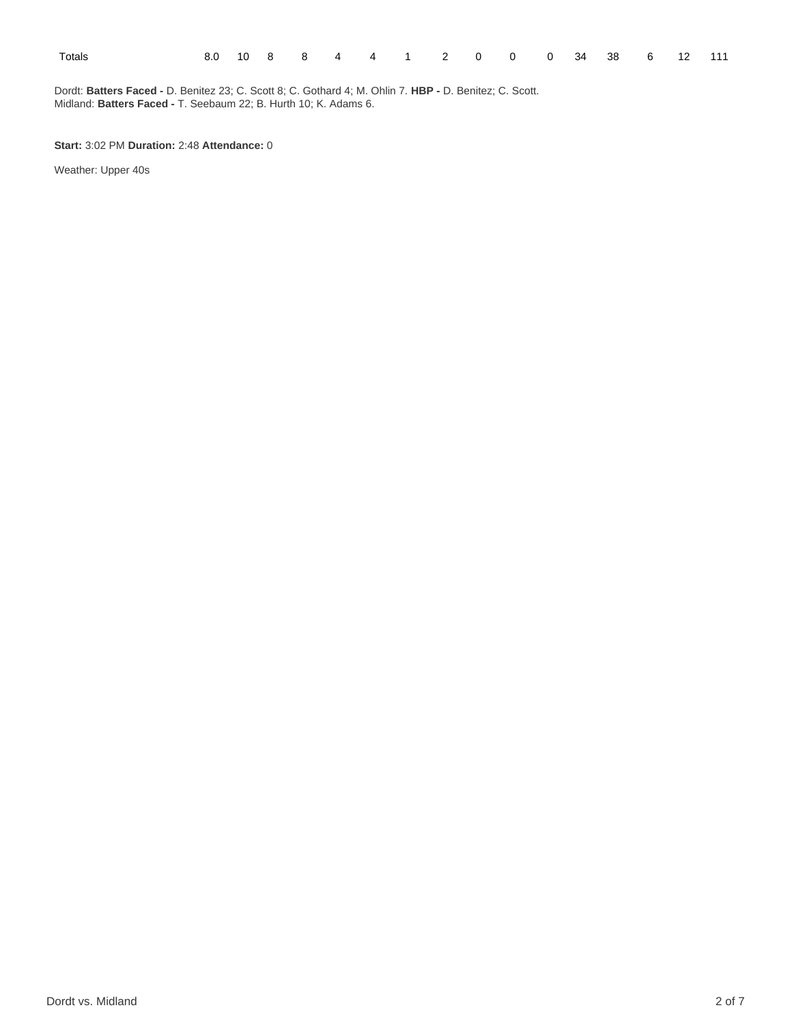| ×<br>. .<br>×<br>٧<br>×<br>۰, |  |
|-------------------------------|--|
|-------------------------------|--|

Dordt: **Batters Faced -** D. Benitez 23; C. Scott 8; C. Gothard 4; M. Ohlin 7. **HBP -** D. Benitez; C. Scott. Midland: **Batters Faced -** T. Seebaum 22; B. Hurth 10; K. Adams 6.

**Start:** 3:02 PM **Duration:** 2:48 **Attendance:** 0

Weather: Upper 40s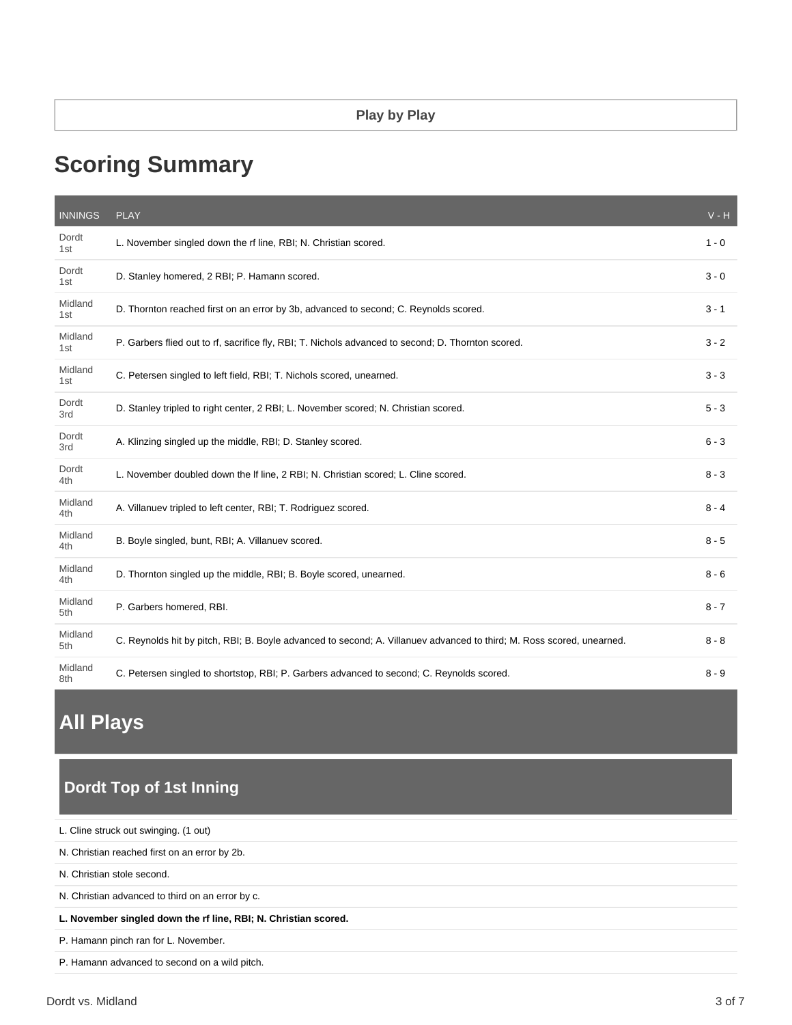# **Scoring Summary**

| <b>INNINGS</b> | <b>PLAY</b>                                                                                                           | $V - H$ |
|----------------|-----------------------------------------------------------------------------------------------------------------------|---------|
| Dordt<br>1st   | L. November singled down the rf line, RBI; N. Christian scored.                                                       | $1 - 0$ |
| Dordt<br>1st   | D. Stanley homered, 2 RBI; P. Hamann scored.                                                                          | $3 - 0$ |
| Midland<br>1st | D. Thornton reached first on an error by 3b, advanced to second; C. Reynolds scored.                                  | $3 - 1$ |
| Midland<br>1st | P. Garbers flied out to rf, sacrifice fly, RBI; T. Nichols advanced to second; D. Thornton scored.                    | $3 - 2$ |
| Midland<br>1st | C. Petersen singled to left field, RBI; T. Nichols scored, unearned.                                                  | $3 - 3$ |
| Dordt<br>3rd   | D. Stanley tripled to right center, 2 RBI; L. November scored; N. Christian scored.                                   | $5 - 3$ |
| Dordt<br>3rd   | A. Klinzing singled up the middle, RBI; D. Stanley scored.                                                            | $6 - 3$ |
| Dordt<br>4th   | L. November doubled down the If line, 2 RBI; N. Christian scored; L. Cline scored.                                    | $8 - 3$ |
| Midland<br>4th | A. Villanuev tripled to left center, RBI; T. Rodriguez scored.                                                        | $8 - 4$ |
| Midland<br>4th | B. Boyle singled, bunt, RBI; A. Villanuev scored.                                                                     | $8 - 5$ |
| Midland<br>4th | D. Thornton singled up the middle, RBI; B. Boyle scored, unearned.                                                    | $8 - 6$ |
| Midland<br>5th | P. Garbers homered, RBI.                                                                                              | $8 - 7$ |
| Midland<br>5th | C. Reynolds hit by pitch, RBI; B. Boyle advanced to second; A. Villanuev advanced to third; M. Ross scored, unearned. | $8 - 8$ |
| Midland<br>8th | C. Petersen singled to shortstop, RBI; P. Garbers advanced to second; C. Reynolds scored.                             | $8 - 9$ |

# **All Plays**

# **Dordt Top of 1st Inning**

P. Hamann advanced to second on a wild pitch.

| L. Cline struck out swinging. (1 out)                           |
|-----------------------------------------------------------------|
| N. Christian reached first on an error by 2b.                   |
| N. Christian stole second.                                      |
| N. Christian advanced to third on an error by c.                |
| L. November singled down the rf line, RBI; N. Christian scored. |
| P. Hamann pinch ran for L. November.                            |
|                                                                 |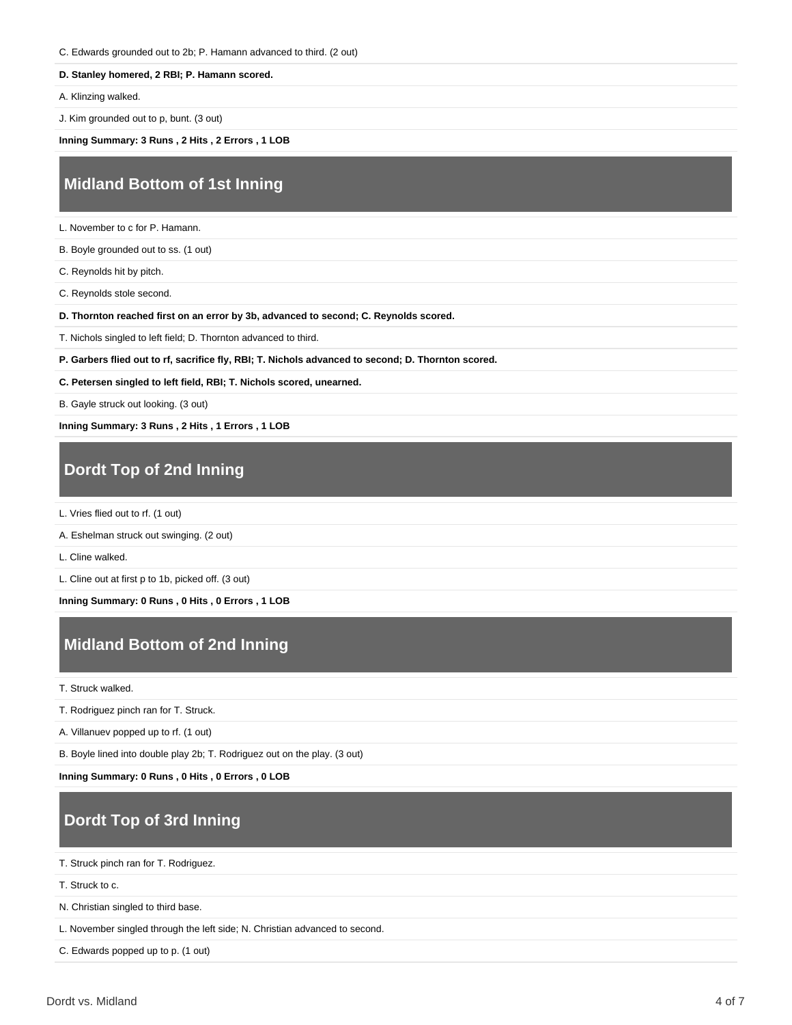C. Edwards grounded out to 2b; P. Hamann advanced to third. (2 out)

#### **D. Stanley homered, 2 RBI; P. Hamann scored.**

A. Klinzing walked.

J. Kim grounded out to p, bunt. (3 out)

**Inning Summary: 3 Runs , 2 Hits , 2 Errors , 1 LOB**

## **Midland Bottom of 1st Inning**

L. November to c for P. Hamann.

B. Boyle grounded out to ss. (1 out)

C. Reynolds hit by pitch.

C. Reynolds stole second.

**D. Thornton reached first on an error by 3b, advanced to second; C. Reynolds scored.**

T. Nichols singled to left field; D. Thornton advanced to third.

**P. Garbers flied out to rf, sacrifice fly, RBI; T. Nichols advanced to second; D. Thornton scored.**

**C. Petersen singled to left field, RBI; T. Nichols scored, unearned.**

B. Gayle struck out looking. (3 out)

**Inning Summary: 3 Runs , 2 Hits , 1 Errors , 1 LOB**

# **Dordt Top of 2nd Inning**

L. Vries flied out to rf. (1 out)

A. Eshelman struck out swinging. (2 out)

L. Cline walked.

L. Cline out at first p to 1b, picked off. (3 out)

**Inning Summary: 0 Runs , 0 Hits , 0 Errors , 1 LOB**

## **Midland Bottom of 2nd Inning**

T. Struck walked.

T. Rodriguez pinch ran for T. Struck.

A. Villanuev popped up to rf. (1 out)

B. Boyle lined into double play 2b; T. Rodriguez out on the play. (3 out)

**Inning Summary: 0 Runs , 0 Hits , 0 Errors , 0 LOB**

# **Dordt Top of 3rd Inning**

T. Struck pinch ran for T. Rodriguez.

T. Struck to c.

N. Christian singled to third base.

L. November singled through the left side; N. Christian advanced to second.

C. Edwards popped up to p. (1 out)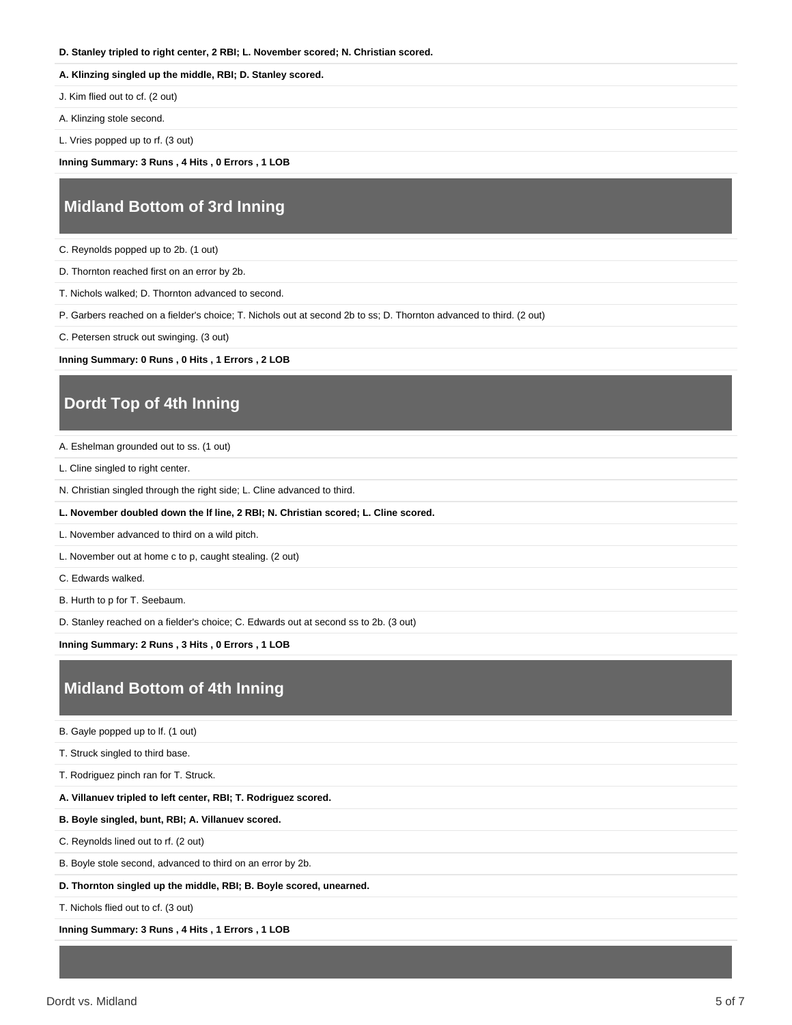#### **D. Stanley tripled to right center, 2 RBI; L. November scored; N. Christian scored.**

#### **A. Klinzing singled up the middle, RBI; D. Stanley scored.**

J. Kim flied out to cf. (2 out)

A. Klinzing stole second.

L. Vries popped up to rf. (3 out)

**Inning Summary: 3 Runs , 4 Hits , 0 Errors , 1 LOB**

#### **Midland Bottom of 3rd Inning**

C. Reynolds popped up to 2b. (1 out)

D. Thornton reached first on an error by 2b.

T. Nichols walked; D. Thornton advanced to second.

P. Garbers reached on a fielder's choice; T. Nichols out at second 2b to ss; D. Thornton advanced to third. (2 out)

C. Petersen struck out swinging. (3 out)

**Inning Summary: 0 Runs , 0 Hits , 1 Errors , 2 LOB**

### **Dordt Top of 4th Inning**

A. Eshelman grounded out to ss. (1 out)

L. Cline singled to right center.

N. Christian singled through the right side; L. Cline advanced to third.

**L. November doubled down the lf line, 2 RBI; N. Christian scored; L. Cline scored.**

L. November advanced to third on a wild pitch.

L. November out at home c to p, caught stealing. (2 out)

C. Edwards walked.

B. Hurth to p for T. Seebaum.

D. Stanley reached on a fielder's choice; C. Edwards out at second ss to 2b. (3 out)

**Inning Summary: 2 Runs , 3 Hits , 0 Errors , 1 LOB**

### **Midland Bottom of 4th Inning**

B. Gayle popped up to lf. (1 out)

T. Struck singled to third base.

T. Rodriguez pinch ran for T. Struck.

**A. Villanuev tripled to left center, RBI; T. Rodriguez scored.**

**B. Boyle singled, bunt, RBI; A. Villanuev scored.**

C. Reynolds lined out to rf. (2 out)

B. Boyle stole second, advanced to third on an error by 2b.

**D. Thornton singled up the middle, RBI; B. Boyle scored, unearned.**

T. Nichols flied out to cf. (3 out)

**Inning Summary: 3 Runs , 4 Hits , 1 Errors , 1 LOB**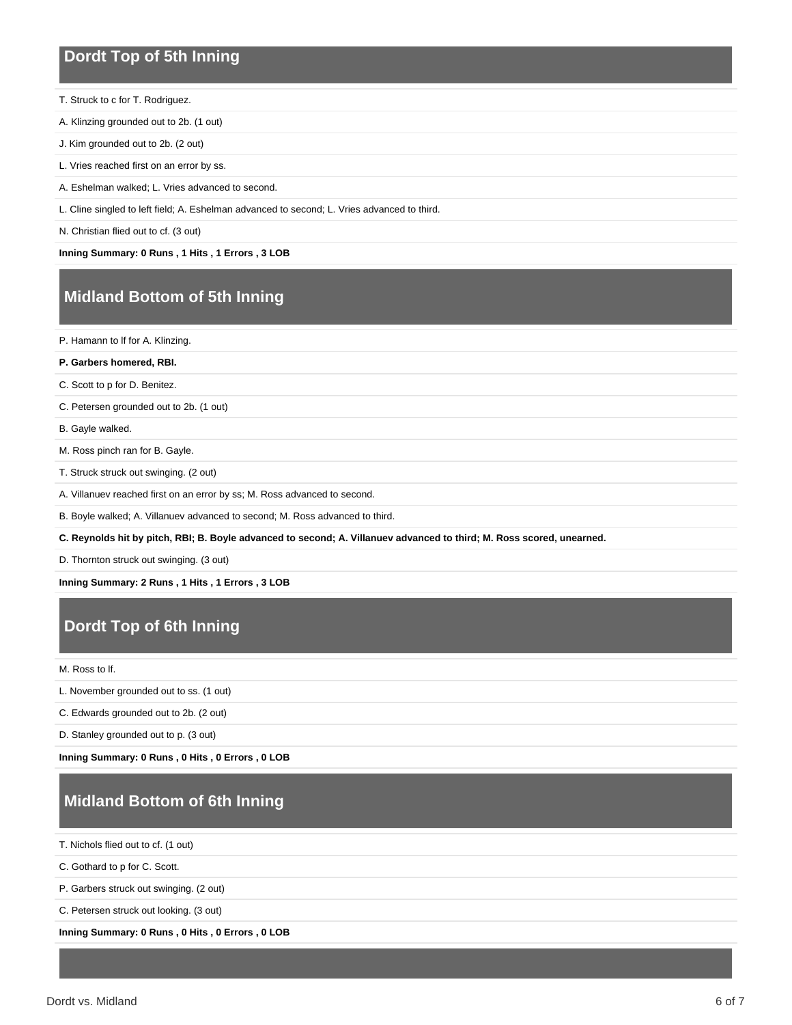#### **Dordt Top of 5th Inning**

- T. Struck to c for T. Rodriguez.
- A. Klinzing grounded out to 2b. (1 out)
- J. Kim grounded out to 2b. (2 out)
- L. Vries reached first on an error by ss.
- A. Eshelman walked; L. Vries advanced to second.
- L. Cline singled to left field; A. Eshelman advanced to second; L. Vries advanced to third.
- N. Christian flied out to cf. (3 out)

**Inning Summary: 0 Runs , 1 Hits , 1 Errors , 3 LOB**

### **Midland Bottom of 5th Inning**

P. Hamann to lf for A. Klinzing.

- **P. Garbers homered, RBI.**
- C. Scott to p for D. Benitez.

C. Petersen grounded out to 2b. (1 out)

B. Gayle walked.

M. Ross pinch ran for B. Gayle.

T. Struck struck out swinging. (2 out)

A. Villanuev reached first on an error by ss; M. Ross advanced to second.

B. Boyle walked; A. Villanuev advanced to second; M. Ross advanced to third.

**C. Reynolds hit by pitch, RBI; B. Boyle advanced to second; A. Villanuev advanced to third; M. Ross scored, unearned.**

D. Thornton struck out swinging. (3 out)

**Inning Summary: 2 Runs , 1 Hits , 1 Errors , 3 LOB**

### **Dordt Top of 6th Inning**

#### M. Ross to lf.

L. November grounded out to ss. (1 out)

C. Edwards grounded out to 2b. (2 out)

D. Stanley grounded out to p. (3 out)

**Inning Summary: 0 Runs , 0 Hits , 0 Errors , 0 LOB**

# **Midland Bottom of 6th Inning**

T. Nichols flied out to cf. (1 out)

C. Gothard to p for C. Scott.

P. Garbers struck out swinging. (2 out)

C. Petersen struck out looking. (3 out)

**Inning Summary: 0 Runs , 0 Hits , 0 Errors , 0 LOB**